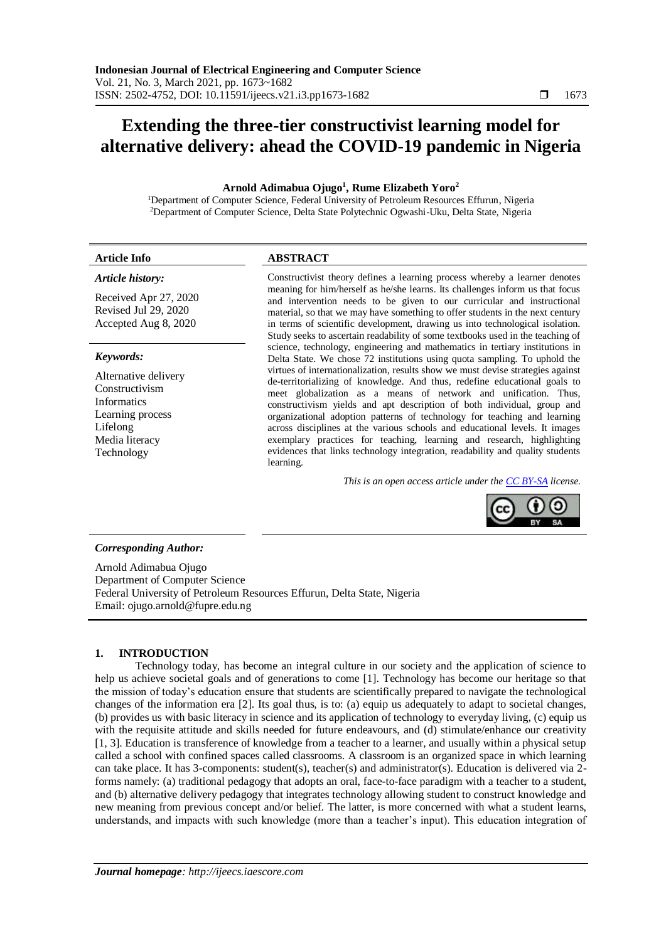# **Extending the three-tier constructivist learning model for alternative delivery: ahead the COVID-19 pandemic in Nigeria**

# **Arnold Adimabua Ojugo<sup>1</sup> , Rume Elizabeth Yoro<sup>2</sup>**

<sup>1</sup>Department of Computer Science, Federal University of Petroleum Resources Effurun, Nigeria <sup>2</sup>Department of Computer Science, Delta State Polytechnic Ogwashi-Uku, Delta State, Nigeria

#### **Article Info ABSTRACT** *Article history:* Received Apr 27, 2020 Constructivist theory defines a learning process whereby a learner denotes meaning for him/herself as he/she learns. Its challenges inform us that focus and intervention needs to be given to our curricular and instructional

Revised Jul 29, 2020 Accepted Aug 8, 2020

## *Keywords:*

Alternative delivery Constructivism Informatics Learning process Lifelong Media literacy Technology

material, so that we may have something to offer students in the next century in terms of scientific development, drawing us into technological isolation. Study seeks to ascertain readability of some textbooks used in the teaching of science, technology, engineering and mathematics in tertiary institutions in Delta State. We chose 72 institutions using quota sampling. To uphold the virtues of internationalization, results show we must devise strategies against de-territorializing of knowledge. And thus, redefine educational goals to meet globalization as a means of network and unification. Thus, constructivism yields and apt description of both individual, group and organizational adoption patterns of technology for teaching and learning across disciplines at the various schools and educational levels. It images exemplary practices for teaching, learning and research, highlighting evidences that links technology integration, readability and quality students learning.

*This is an open access article under the [CC BY-SA](https://creativecommons.org/licenses/by-sa/4.0/) license.*



# *Corresponding Author:*

Arnold Adimabua Ojugo Department of Computer Science Federal University of Petroleum Resources Effurun, Delta State, Nigeria Email: ojugo.arnold@fupre.edu.ng

# **1. INTRODUCTION**

Technology today, has become an integral culture in our society and the application of science to help us achieve societal goals and of generations to come [1]. Technology has become our heritage so that the mission of today's education ensure that students are scientifically prepared to navigate the technological changes of the information era [2]. Its goal thus, is to: (a) equip us adequately to adapt to societal changes, (b) provides us with basic literacy in science and its application of technology to everyday living, (c) equip us with the requisite attitude and skills needed for future endeavours, and (d) stimulate/enhance our creativity [1, 3]. Education is transference of knowledge from a teacher to a learner, and usually within a physical setup called a school with confined spaces called classrooms. A classroom is an organized space in which learning can take place. It has 3-components: student(s), teacher(s) and administrator(s). Education is delivered via 2 forms namely: (a) traditional pedagogy that adopts an oral, face-to-face paradigm with a teacher to a student, and (b) alternative delivery pedagogy that integrates technology allowing student to construct knowledge and new meaning from previous concept and/or belief. The latter, is more concerned with what a student learns, understands, and impacts with such knowledge (more than a teacher's input). This education integration of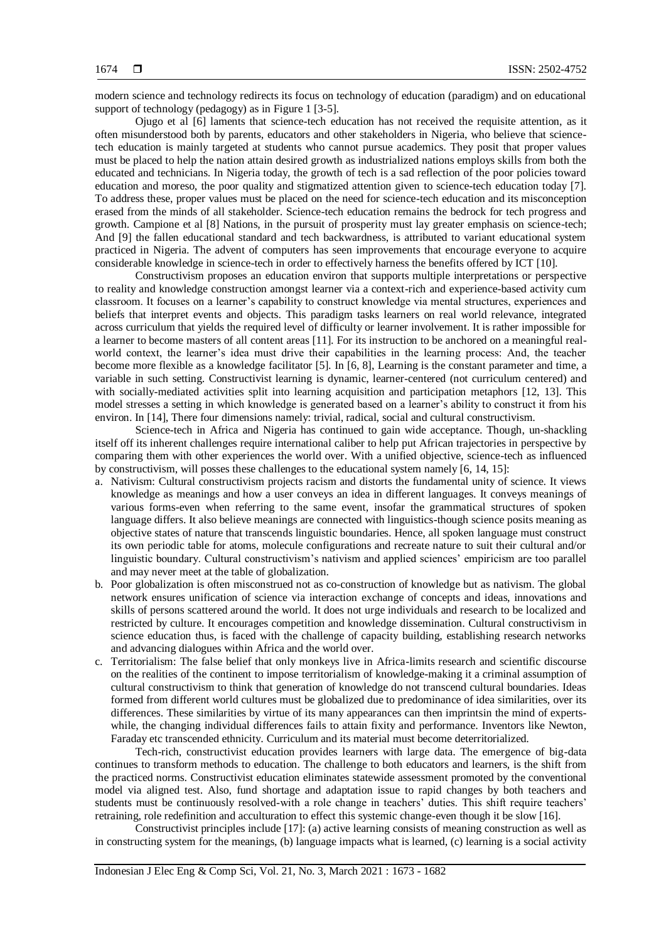modern science and technology redirects its focus on technology of education (paradigm) and on educational support of technology (pedagogy) as in Figure 1 [3-5].

Ojugo et al [6] laments that science-tech education has not received the requisite attention, as it often misunderstood both by parents, educators and other stakeholders in Nigeria, who believe that sciencetech education is mainly targeted at students who cannot pursue academics. They posit that proper values must be placed to help the nation attain desired growth as industrialized nations employs skills from both the educated and technicians. In Nigeria today, the growth of tech is a sad reflection of the poor policies toward education and moreso, the poor quality and stigmatized attention given to science-tech education today [7]. To address these, proper values must be placed on the need for science-tech education and its misconception erased from the minds of all stakeholder. Science-tech education remains the bedrock for tech progress and growth. Campione et al [8] Nations, in the pursuit of prosperity must lay greater emphasis on science-tech; And [9] the fallen educational standard and tech backwardness, is attributed to variant educational system practiced in Nigeria. The advent of computers has seen improvements that encourage everyone to acquire considerable knowledge in science-tech in order to effectively harness the benefits offered by ICT [10].

Constructivism proposes an education environ that supports multiple interpretations or perspective to reality and knowledge construction amongst learner via a context-rich and experience-based activity cum classroom. It focuses on a learner's capability to construct knowledge via mental structures, experiences and beliefs that interpret events and objects. This paradigm tasks learners on real world relevance, integrated across curriculum that yields the required level of difficulty or learner involvement. It is rather impossible for a learner to become masters of all content areas [11]. For its instruction to be anchored on a meaningful realworld context, the learner's idea must drive their capabilities in the learning process: And, the teacher become more flexible as a knowledge facilitator [5]. In [6, 8], Learning is the constant parameter and time, a variable in such setting. Constructivist learning is dynamic, learner-centered (not curriculum centered) and with socially-mediated activities split into learning acquisition and participation metaphors [12, 13]. This model stresses a setting in which knowledge is generated based on a learner's ability to construct it from his environ. In [14], There four dimensions namely: trivial, radical, social and cultural constructivism.

Science-tech in Africa and Nigeria has continued to gain wide acceptance. Though, un-shackling itself off its inherent challenges require international caliber to help put African trajectories in perspective by comparing them with other experiences the world over. With a unified objective, science-tech as influenced by constructivism, will posses these challenges to the educational system namely [6, 14, 15]:

- a. Nativism: Cultural constructivism projects racism and distorts the fundamental unity of science. It views knowledge as meanings and how a user conveys an idea in different languages. It conveys meanings of various forms-even when referring to the same event, insofar the grammatical structures of spoken language differs. It also believe meanings are connected with linguistics-though science posits meaning as objective states of nature that transcends linguistic boundaries. Hence, all spoken language must construct its own periodic table for atoms, molecule configurations and recreate nature to suit their cultural and/or linguistic boundary. Cultural constructivism's nativism and applied sciences' empiricism are too parallel and may never meet at the table of globalization.
- b. Poor globalization is often misconstrued not as co-construction of knowledge but as nativism. The global network ensures unification of science via interaction exchange of concepts and ideas, innovations and skills of persons scattered around the world. It does not urge individuals and research to be localized and restricted by culture. It encourages competition and knowledge dissemination. Cultural constructivism in science education thus, is faced with the challenge of capacity building, establishing research networks and advancing dialogues within Africa and the world over.
- c. Territorialism: The false belief that only monkeys live in Africa-limits research and scientific discourse on the realities of the continent to impose territorialism of knowledge-making it a criminal assumption of cultural constructivism to think that generation of knowledge do not transcend cultural boundaries. Ideas formed from different world cultures must be globalized due to predominance of idea similarities, over its differences. These similarities by virtue of its many appearances can then imprintsin the mind of expertswhile, the changing individual differences fails to attain fixity and performance. Inventors like Newton, Faraday etc transcended ethnicity. Curriculum and its material must become deterritorialized.

Tech-rich, constructivist education provides learners with large data. The emergence of big-data continues to transform methods to education. The challenge to both educators and learners, is the shift from the practiced norms. Constructivist education eliminates statewide assessment promoted by the conventional model via aligned test. Also, fund shortage and adaptation issue to rapid changes by both teachers and students must be continuously resolved-with a role change in teachers' duties. This shift require teachers' retraining, role redefinition and acculturation to effect this systemic change-even though it be slow [16].

Constructivist principles include [17]: (a) active learning consists of meaning construction as well as in constructing system for the meanings, (b) language impacts what is learned, (c) learning is a social activity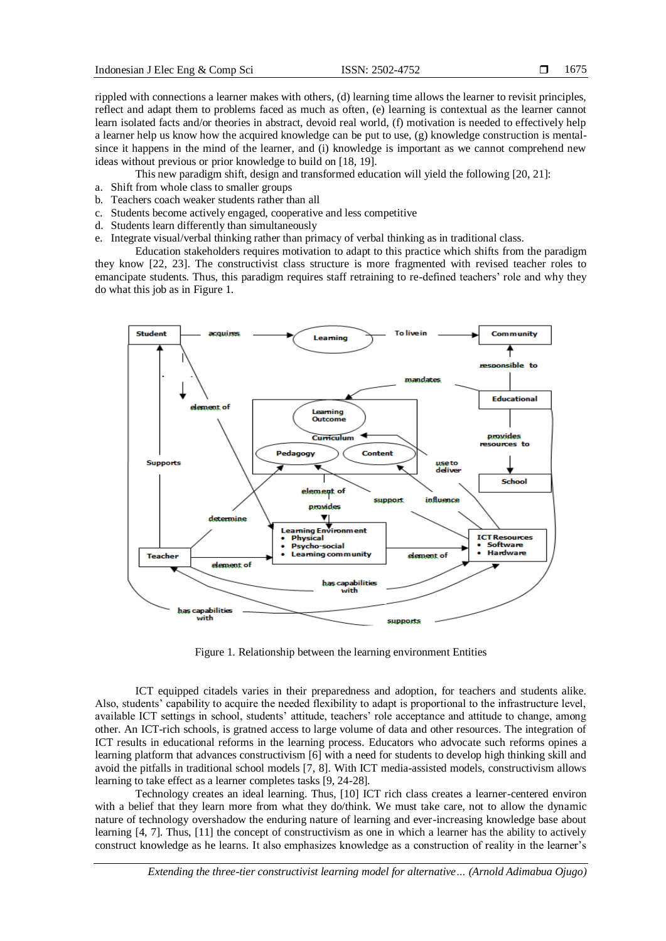rippled with connections a learner makes with others, (d) learning time allows the learner to revisit principles, reflect and adapt them to problems faced as much as often, (e) learning is contextual as the learner cannot learn isolated facts and/or theories in abstract, devoid real world, (f) motivation is needed to effectively help a learner help us know how the acquired knowledge can be put to use, (g) knowledge construction is mentalsince it happens in the mind of the learner, and (i) knowledge is important as we cannot comprehend new ideas without previous or prior knowledge to build on [18, 19].

This new paradigm shift, design and transformed education will yield the following [20, 21]:

- a. Shift from whole class to smaller groups
- b. Teachers coach weaker students rather than all
- c. Students become actively engaged, cooperative and less competitive
- d. Students learn differently than simultaneously
- e. Integrate visual/verbal thinking rather than primacy of verbal thinking as in traditional class.

Education stakeholders requires motivation to adapt to this practice which shifts from the paradigm they know [22, 23]. The constructivist class structure is more fragmented with revised teacher roles to emancipate students. Thus, this paradigm requires staff retraining to re-defined teachers' role and why they do what this job as in Figure 1.



Figure 1. Relationship between the learning environment Entities

ICT equipped citadels varies in their preparedness and adoption, for teachers and students alike. Also, students' capability to acquire the needed flexibility to adapt is proportional to the infrastructure level, available ICT settings in school, students' attitude, teachers' role acceptance and attitude to change, among other. An ICT-rich schools, is gratned access to large volume of data and other resources. The integration of ICT results in educational reforms in the learning process. Educators who advocate such reforms opines a learning platform that advances constructivism [6] with a need for students to develop high thinking skill and avoid the pitfalls in traditional school models [7, 8]. With ICT media-assisted models, constructivism allows learning to take effect as a learner completes tasks [9, 24-28].

Technology creates an ideal learning. Thus, [10] ICT rich class creates a learner-centered environ with a belief that they learn more from what they do/think. We must take care, not to allow the dynamic nature of technology overshadow the enduring nature of learning and ever-increasing knowledge base about learning [4, 7]. Thus, [11] the concept of constructivism as one in which a learner has the ability to actively construct knowledge as he learns. It also emphasizes knowledge as a construction of reality in the learner's

*Extending the three-tier constructivist learning model for alternative… (Arnold Adimabua Ojugo)*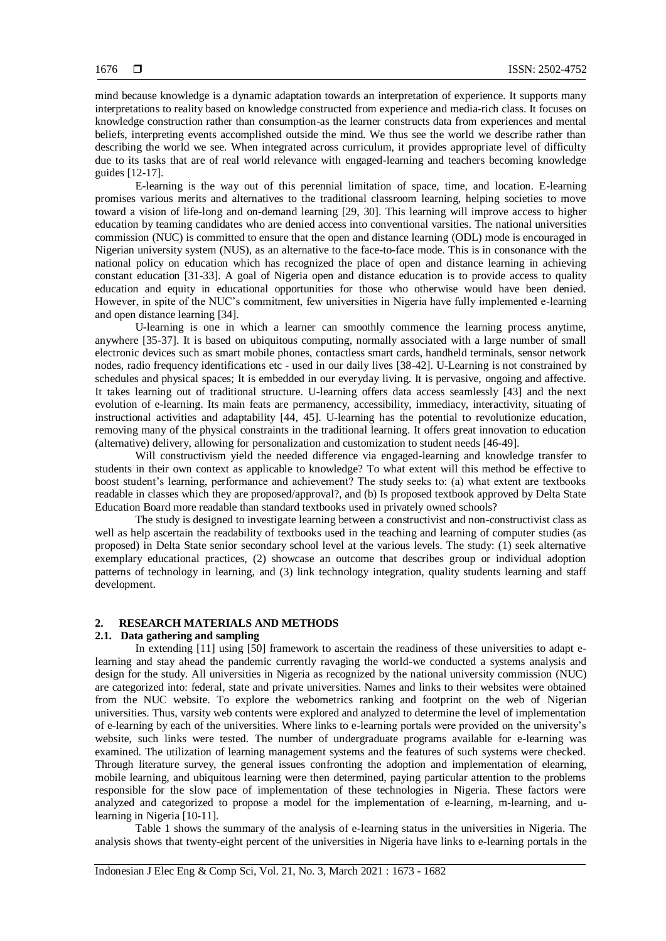mind because knowledge is a dynamic adaptation towards an interpretation of experience. It supports many interpretations to reality based on knowledge constructed from experience and media-rich class. It focuses on knowledge construction rather than consumption-as the learner constructs data from experiences and mental beliefs, interpreting events accomplished outside the mind. We thus see the world we describe rather than describing the world we see. When integrated across curriculum, it provides appropriate level of difficulty due to its tasks that are of real world relevance with engaged-learning and teachers becoming knowledge guides [12-17].

E-learning is the way out of this perennial limitation of space, time, and location. E-learning promises various merits and alternatives to the traditional classroom learning, helping societies to move toward a vision of life-long and on-demand learning [29, 30]. This learning will improve access to higher education by teaming candidates who are denied access into conventional varsities. The national universities commission (NUC) is committed to ensure that the open and distance learning (ODL) mode is encouraged in Nigerian university system (NUS), as an alternative to the face-to-face mode. This is in consonance with the national policy on education which has recognized the place of open and distance learning in achieving constant education [31-33]. A goal of Nigeria open and distance education is to provide access to quality education and equity in educational opportunities for those who otherwise would have been denied. However, in spite of the NUC's commitment, few universities in Nigeria have fully implemented e-learning and open distance learning [34].

U-learning is one in which a learner can smoothly commence the learning process anytime, anywhere [35-37]. It is based on ubiquitous computing, normally associated with a large number of small electronic devices such as smart mobile phones, contactless smart cards, handheld terminals, sensor network nodes, radio frequency identifications etc - used in our daily lives [38-42]. U-Learning is not constrained by schedules and physical spaces; It is embedded in our everyday living. It is pervasive, ongoing and affective. It takes learning out of traditional structure. U-learning offers data access seamlessly [43] and the next evolution of e-learning. Its main feats are permanency, accessibility, immediacy, interactivity, situating of instructional activities and adaptability [44, 45]. U-learning has the potential to revolutionize education, removing many of the physical constraints in the traditional learning. It offers great innovation to education (alternative) delivery, allowing for personalization and customization to student needs [46-49].

Will constructivism yield the needed difference via engaged-learning and knowledge transfer to students in their own context as applicable to knowledge? To what extent will this method be effective to boost student's learning, performance and achievement? The study seeks to: (a) what extent are textbooks readable in classes which they are proposed/approval?, and (b) Is proposed textbook approved by Delta State Education Board more readable than standard textbooks used in privately owned schools?

The study is designed to investigate learning between a constructivist and non-constructivist class as well as help ascertain the readability of textbooks used in the teaching and learning of computer studies (as proposed) in Delta State senior secondary school level at the various levels. The study: (1) seek alternative exemplary educational practices, (2) showcase an outcome that describes group or individual adoption patterns of technology in learning, and (3) link technology integration, quality students learning and staff development.

## **2. RESEARCH MATERIALS AND METHODS**

## **2.1. Data gathering and sampling**

In extending [11] using [50] framework to ascertain the readiness of these universities to adapt elearning and stay ahead the pandemic currently ravaging the world-we conducted a systems analysis and design for the study. All universities in Nigeria as recognized by the national university commission (NUC) are categorized into: federal, state and private universities. Names and links to their websites were obtained from the NUC website. To explore the webometrics ranking and footprint on the web of Nigerian universities. Thus, varsity web contents were explored and analyzed to determine the level of implementation of e-learning by each of the universities. Where links to e-learning portals were provided on the university's website, such links were tested. The number of undergraduate programs available for e-learning was examined. The utilization of learning management systems and the features of such systems were checked. Through literature survey, the general issues confronting the adoption and implementation of elearning, mobile learning, and ubiquitous learning were then determined, paying particular attention to the problems responsible for the slow pace of implementation of these technologies in Nigeria. These factors were analyzed and categorized to propose a model for the implementation of e-learning, m-learning, and ulearning in Nigeria [10-11].

Table 1 shows the summary of the analysis of e-learning status in the universities in Nigeria. The analysis shows that twenty-eight percent of the universities in Nigeria have links to e-learning portals in the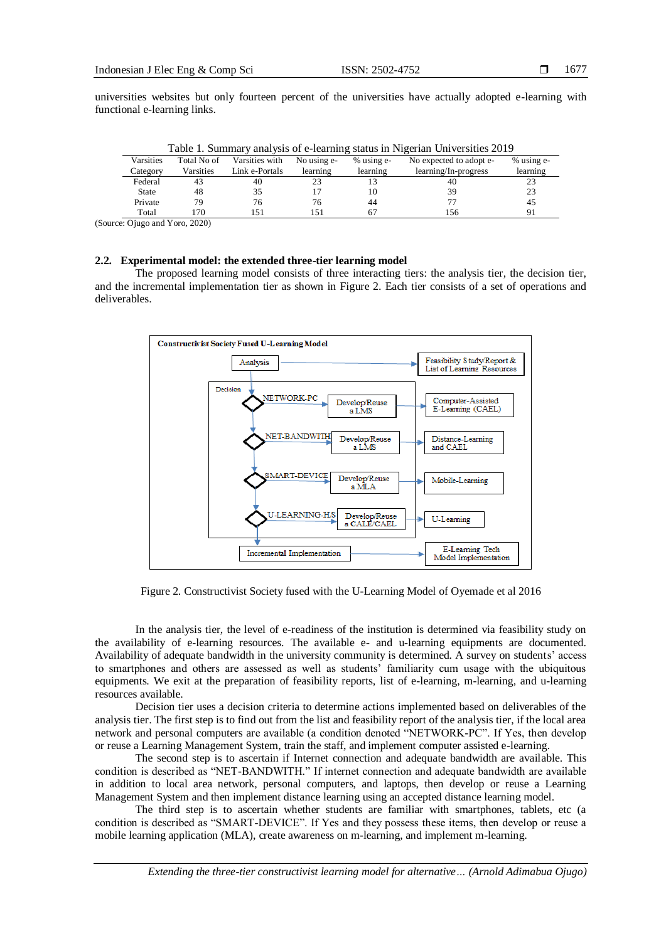universities websites but only fourteen percent of the universities have actually adopted e-learning with functional e-learning links.

| Table 1. Summary analysis of C-Icarning status in Ivigenian Chryeisities 2017 |             |                |             |            |                         |            |
|-------------------------------------------------------------------------------|-------------|----------------|-------------|------------|-------------------------|------------|
| Varsities                                                                     | Total No of | Varsities with | No using e- | % using e- | No expected to adopt e- | % using e- |
| Category                                                                      | Varsities   | Link e-Portals | learning    | learning   | learning/In-progress    | learning   |
| Federal                                                                       | 43          | 40             | 23          |            | 40                      | 23         |
| State                                                                         | 48          | 35             |             | 10         | 39                      | 23         |
| Private                                                                       | 79          | 76             | 76          | 44         |                         | 45         |
| Total                                                                         | 170         | 151            |             |            | 156                     |            |

Table 1. Summary analysis of e-learning status in Nigerian Universities 2019

(Source: Ojugo and Yoro, 2020)

## **2.2. Experimental model: the extended three-tier learning model**

The proposed learning model consists of three interacting tiers: the analysis tier, the decision tier, and the incremental implementation tier as shown in Figure 2. Each tier consists of a set of operations and deliverables.



Figure 2. Constructivist Society fused with the U-Learning Model of Oyemade et al 2016

In the analysis tier, the level of e-readiness of the institution is determined via feasibility study on the availability of e-learning resources. The available e- and u-learning equipments are documented. Availability of adequate bandwidth in the university community is determined. A survey on students' access to smartphones and others are assessed as well as students' familiarity cum usage with the ubiquitous equipments. We exit at the preparation of feasibility reports, list of e-learning, m-learning, and u-learning resources available.

Decision tier uses a decision criteria to determine actions implemented based on deliverables of the analysis tier. The first step is to find out from the list and feasibility report of the analysis tier, if the local area network and personal computers are available (a condition denoted "NETWORK-PC". If Yes, then develop or reuse a Learning Management System, train the staff, and implement computer assisted e-learning.

The second step is to ascertain if Internet connection and adequate bandwidth are available. This condition is described as "NET-BANDWITH." If internet connection and adequate bandwidth are available in addition to local area network, personal computers, and laptops, then develop or reuse a Learning Management System and then implement distance learning using an accepted distance learning model.

The third step is to ascertain whether students are familiar with smartphones, tablets, etc (a condition is described as "SMART-DEVICE". If Yes and they possess these items, then develop or reuse a mobile learning application (MLA), create awareness on m-learning, and implement m-learning.

*Extending the three-tier constructivist learning model for alternative… (Arnold Adimabua Ojugo)*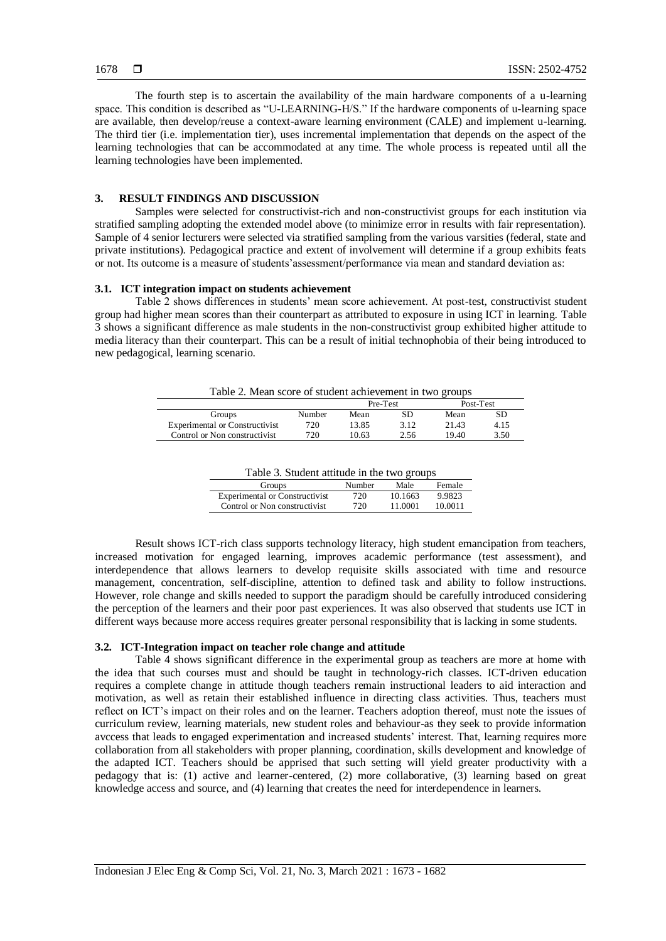The fourth step is to ascertain the availability of the main hardware components of a u-learning space. This condition is described as "U-LEARNING-H/S." If the hardware components of u-learning space are available, then develop/reuse a context-aware learning environment (CALE) and implement u-learning. The third tier (i.e. implementation tier), uses incremental implementation that depends on the aspect of the learning technologies that can be accommodated at any time. The whole process is repeated until all the learning technologies have been implemented.

## **3. RESULT FINDINGS AND DISCUSSION**

Samples were selected for constructivist-rich and non-constructivist groups for each institution via stratified sampling adopting the extended model above (to minimize error in results with fair representation). Sample of 4 senior lecturers were selected via stratified sampling from the various varsities (federal, state and private institutions). Pedagogical practice and extent of involvement will determine if a group exhibits feats or not. Its outcome is a measure of students'assessment/performance via mean and standard deviation as:

## **3.1. ICT integration impact on students achievement**

Table 2 shows differences in students' mean score achievement. At post-test, constructivist student group had higher mean scores than their counterpart as attributed to exposure in using ICT in learning. Table 3 shows a significant difference as male students in the non-constructivist group exhibited higher attitude to media literacy than their counterpart. This can be a result of initial technophobia of their being introduced to new pedagogical, learning scenario.

Table 2. Mean score of student achievement in two groups

|                                       |        | Pre-Test |      | Post-Test |      |
|---------------------------------------|--------|----------|------|-----------|------|
| Groups                                | Number | Mean     | SD   | Mean      | SD   |
| <b>Experimental or Constructivist</b> | 720    | 13.85    | 3.12 | 21.43     | 4.15 |
| Control or Non constructivist         | 720    | 10.63    | 2.56 | 19.40     | 3.50 |

| Table 3. Student attitude in the two groups |        |         |         |  |
|---------------------------------------------|--------|---------|---------|--|
| Groups                                      | Number | Male    | Female  |  |
| <b>Experimental or Constructivist</b>       | 720    | 10.1663 | 9.9823  |  |
| Control or Non constructivist               | 720    | 11.0001 | 10 0011 |  |

Result shows ICT-rich class supports technology literacy, high student emancipation from teachers, increased motivation for engaged learning, improves academic performance (test assessment), and interdependence that allows learners to develop requisite skills associated with time and resource management, concentration, self-discipline, attention to defined task and ability to follow instructions. However, role change and skills needed to support the paradigm should be carefully introduced considering the perception of the learners and their poor past experiences. It was also observed that students use ICT in different ways because more access requires greater personal responsibility that is lacking in some students.

## **3.2. ICT-Integration impact on teacher role change and attitude**

Table 4 shows significant difference in the experimental group as teachers are more at home with the idea that such courses must and should be taught in technology-rich classes. ICT-driven education requires a complete change in attitude though teachers remain instructional leaders to aid interaction and motivation, as well as retain their established influence in directing class activities. Thus, teachers must reflect on ICT's impact on their roles and on the learner. Teachers adoption thereof, must note the issues of curriculum review, learning materials, new student roles and behaviour-as they seek to provide information avccess that leads to engaged experimentation and increased students' interest. That, learning requires more collaboration from all stakeholders with proper planning, coordination, skills development and knowledge of the adapted ICT. Teachers should be apprised that such setting will yield greater productivity with a pedagogy that is: (1) active and learner-centered, (2) more collaborative, (3) learning based on great knowledge access and source, and (4) learning that creates the need for interdependence in learners.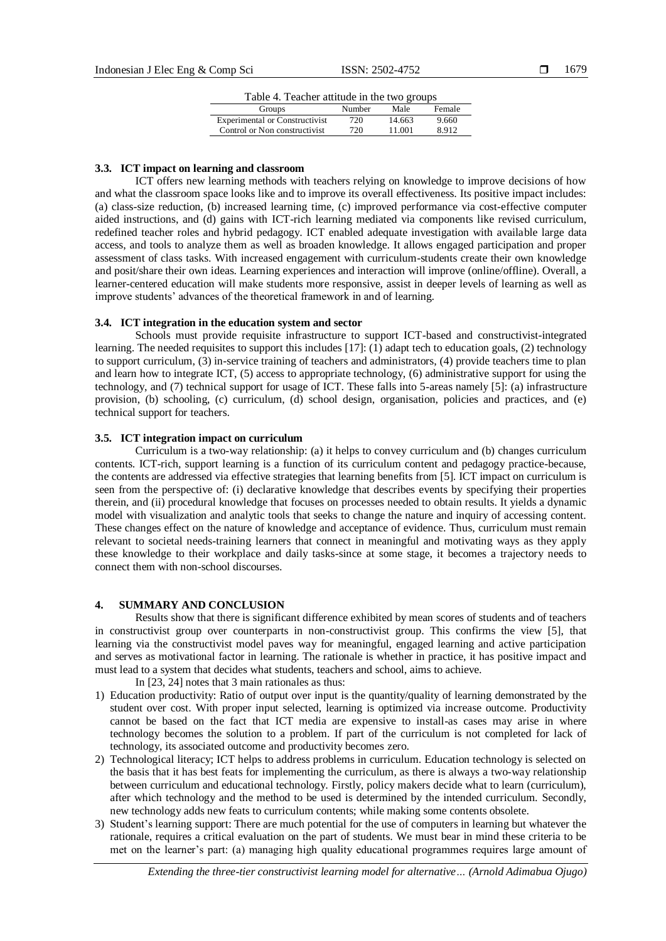| Table 4. Teacher attitude in the two groups |  |  |  |  |
|---------------------------------------------|--|--|--|--|
|---------------------------------------------|--|--|--|--|

| Groups                                | Number | Male   | Female |
|---------------------------------------|--------|--------|--------|
| <b>Experimental or Constructivist</b> | 720    | 14.663 | 9.660  |
| Control or Non constructivist         | 720    | 11.001 | 8.912  |

#### **3.3. ICT impact on learning and classroom**

ICT offers new learning methods with teachers relying on knowledge to improve decisions of how and what the classroom space looks like and to improve its overall effectiveness. Its positive impact includes: (a) class-size reduction, (b) increased learning time, (c) improved performance via cost-effective computer aided instructions, and (d) gains with ICT-rich learning mediated via components like revised curriculum, redefined teacher roles and hybrid pedagogy. ICT enabled adequate investigation with available large data access, and tools to analyze them as well as broaden knowledge. It allows engaged participation and proper assessment of class tasks. With increased engagement with curriculum-students create their own knowledge and posit/share their own ideas. Learning experiences and interaction will improve (online/offline). Overall, a learner-centered education will make students more responsive, assist in deeper levels of learning as well as improve students' advances of the theoretical framework in and of learning.

#### **3.4. ICT integration in the education system and sector**

Schools must provide requisite infrastructure to support ICT-based and constructivist-integrated learning. The needed requisites to support this includes [17]: (1) adapt tech to education goals, (2) technology to support curriculum, (3) in-service training of teachers and administrators, (4) provide teachers time to plan and learn how to integrate ICT, (5) access to appropriate technology, (6) administrative support for using the technology, and (7) technical support for usage of ICT. These falls into 5-areas namely [5]: (a) infrastructure provision, (b) schooling, (c) curriculum, (d) school design, organisation, policies and practices, and (e) technical support for teachers.

#### **3.5. ICT integration impact on curriculum**

Curriculum is a two-way relationship: (a) it helps to convey curriculum and (b) changes curriculum contents. ICT-rich, support learning is a function of its curriculum content and pedagogy practice-because, the contents are addressed via effective strategies that learning benefits from [5]. ICT impact on curriculum is seen from the perspective of: (i) declarative knowledge that describes events by specifying their properties therein, and (ii) procedural knowledge that focuses on processes needed to obtain results. It yields a dynamic model with visualization and analytic tools that seeks to change the nature and inquiry of accessing content. These changes effect on the nature of knowledge and acceptance of evidence. Thus, curriculum must remain relevant to societal needs-training learners that connect in meaningful and motivating ways as they apply these knowledge to their workplace and daily tasks-since at some stage, it becomes a trajectory needs to connect them with non-school discourses.

## **4. SUMMARY AND CONCLUSION**

Results show that there is significant difference exhibited by mean scores of students and of teachers in constructivist group over counterparts in non-constructivist group. This confirms the view [5], that learning via the constructivist model paves way for meaningful, engaged learning and active participation and serves as motivational factor in learning. The rationale is whether in practice, it has positive impact and must lead to a system that decides what students, teachers and school, aims to achieve.

In [23, 24] notes that 3 main rationales as thus:

- 1) Education productivity: Ratio of output over input is the quantity/quality of learning demonstrated by the student over cost. With proper input selected, learning is optimized via increase outcome. Productivity cannot be based on the fact that ICT media are expensive to install-as cases may arise in where technology becomes the solution to a problem. If part of the curriculum is not completed for lack of technology, its associated outcome and productivity becomes zero.
- 2) Technological literacy; ICT helps to address problems in curriculum. Education technology is selected on the basis that it has best feats for implementing the curriculum, as there is always a two-way relationship between curriculum and educational technology. Firstly, policy makers decide what to learn (curriculum), after which technology and the method to be used is determined by the intended curriculum. Secondly, new technology adds new feats to curriculum contents; while making some contents obsolete.
- 3) Student's learning support: There are much potential for the use of computers in learning but whatever the rationale, requires a critical evaluation on the part of students. We must bear in mind these criteria to be met on the learner's part: (a) managing high quality educational programmes requires large amount of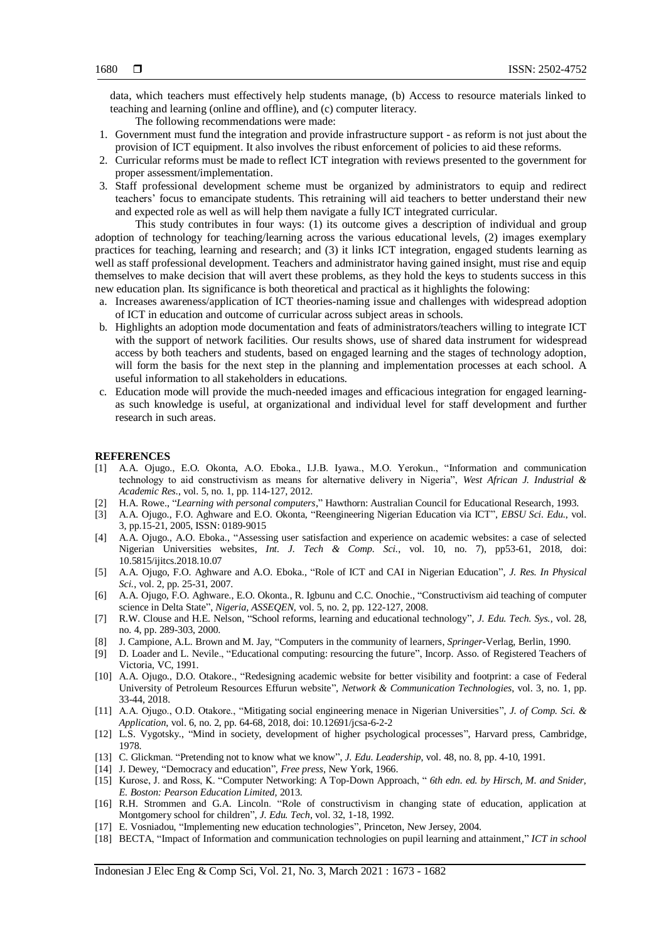data, which teachers must effectively help students manage, (b) Access to resource materials linked to teaching and learning (online and offline), and (c) computer literacy.

The following recommendations were made:

- 1. Government must fund the integration and provide infrastructure support as reform is not just about the provision of ICT equipment. It also involves the ribust enforcement of policies to aid these reforms.
- 2. Curricular reforms must be made to reflect ICT integration with reviews presented to the government for proper assessment/implementation.
- 3. Staff professional development scheme must be organized by administrators to equip and redirect teachers' focus to emancipate students. This retraining will aid teachers to better understand their new and expected role as well as will help them navigate a fully ICT integrated curricular.

This study contributes in four ways: (1) its outcome gives a description of individual and group adoption of technology for teaching/learning across the various educational levels, (2) images exemplary practices for teaching, learning and research; and (3) it links ICT integration, engaged students learning as well as staff professional development. Teachers and administrator having gained insight, must rise and equip themselves to make decision that will avert these problems, as they hold the keys to students success in this new education plan. Its significance is both theoretical and practical as it highlights the folowing:

- a. Increases awareness/application of ICT theories-naming issue and challenges with widespread adoption of ICT in education and outcome of curricular across subject areas in schools.
- b. Highlights an adoption mode documentation and feats of administrators/teachers willing to integrate ICT with the support of network facilities. Our results shows, use of shared data instrument for widespread access by both teachers and students, based on engaged learning and the stages of technology adoption, will form the basis for the next step in the planning and implementation processes at each school. A useful information to all stakeholders in educations.
- c. Education mode will provide the much-needed images and efficacious integration for engaged learningas such knowledge is useful, at organizational and individual level for staff development and further research in such areas.

#### **REFERENCES**

- [1] A.A. Ojugo., E.O. Okonta, A.O. Eboka., I.J.B. Iyawa., M.O. Yerokun., "Information and communication technology to aid constructivism as means for alternative delivery in Nigeria", *West African J. Industrial & Academic Res.*, vol. 5, no. 1, pp. 114-127, 2012.
- [2] H.A. Rowe., "*Learning with personal computers*," Hawthorn: Australian Council for Educational Research, 1993.
- [3] A.A. Ojugo., F.O. Aghware and E.O. Okonta, "Reengineering Nigerian Education via ICT", *EBSU Sci. Edu.*, vol. 3, pp.15-21, 2005, ISSN: 0189-9015
- [4] A.A. Ojugo., A.O. Eboka., "Assessing user satisfaction and experience on academic websites: a case of selected Nigerian Universities websites, *Int. J. Tech & Comp. Sci.*, vol. 10, no. 7), pp53-61, 2018, doi: 10.5815/ijitcs.2018.10.07
- [5] A.A. Ojugo, F.O. Aghware and A.O. Eboka., "Role of ICT and CAI in Nigerian Education"*, J. Res. In Physical Sci.*, vol. 2, pp. 25-31, 2007.
- [6] A.A. Ojugo, F.O. Aghware., E.O. Okonta., R. Igbunu and C.C. Onochie., "Constructivism aid teaching of computer science in Delta State", *Nigeria, ASSEQEN*, vol. 5, no. 2, pp. 122-127, 2008.
- [7] R.W. Clouse and H.E. Nelson, "School reforms, learning and educational technology", *J. Edu. Tech. Sys.*, vol. 28, no. 4, pp. 289-303, 2000.
- [8] J. Campione, A.L. Brown and M. Jay, "Computers in the community of learners, *Springer*-Verlag, Berlin, 1990.
- [9] D. Loader and L. Nevile., "Educational computing: resourcing the future", Incorp. Asso. of Registered Teachers of Victoria, VC, 1991.
- [10] A.A. Ojugo., D.O. Otakore., "Redesigning academic website for better visibility and footprint: a case of Federal University of Petroleum Resources Effurun website", *Network & Communication Technologies*, vol. 3, no. 1, pp. 33-44, 2018.
- [11] A.A. Ojugo., O.D. Otakore., "Mitigating social engineering menace in Nigerian Universities", *J. of Comp. Sci. & Application*, vol. 6, no. 2, pp. 64-68, 2018, doi: 10.12691/jcsa-6-2-2
- [12] L.S. Vygotsky., "Mind in society, development of higher psychological processes", Harvard press, Cambridge, 1978.
- [13] C. Glickman. "Pretending not to know what we know", *J. Edu. Leadership*, vol. 48, no. 8, pp. 4-10, 1991.
- [14] J. Dewey, "Democracy and education", *Free press*, New York, 1966.
- [15] Kurose, J. and Ross, K. "Computer Networking: A Top-Down Approach, " *6th edn. ed. by Hirsch, M. and Snider, E. Boston: Pearson Education Limited,* 2013.
- [16] R.H. Strommen and G.A. Lincoln. "R*o*le of constructivism in changing state of education, application at Montgomery school for children", *J. Edu. Tech*, vol. 32, 1-18, 1992.
- [17] E. Vosniadou, "Implementing new education technologies", Princeton, New Jersey, 2004.
- [18] BECTA, "Impact of Information and communication technologies on pupil learning and attainment," *ICT in school*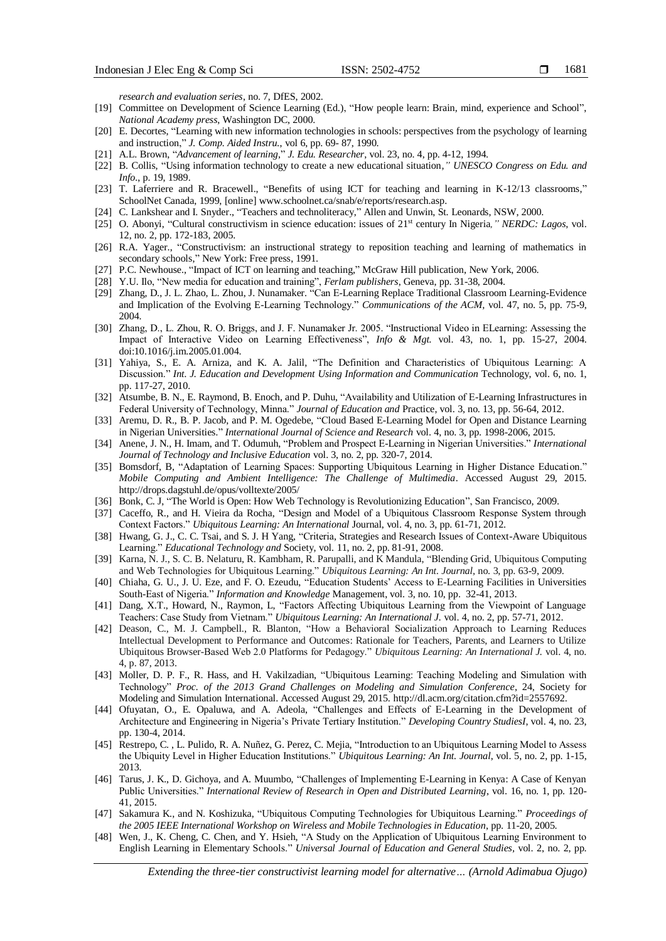1681

*research and evaluation series*, no. 7, DfES, 2002.

- [19] Committee on Development of Science Learning (Ed.), "How people learn: Brain, mind, experience and School", *National Academy press*, Washington DC, 2000.
- [20] E. Decortes, "Learning with new information technologies in schools: perspectives from the psychology of learning and instruction," *J. Comp. Aided Instru.*, vol 6, pp. 69- 87, 1990.
- [21] A.L. Brown, "*Advancement of learning*," *J. Edu. Researcher*, vol. 23, no. 4, pp. 4-12, 1994.
- [22] B. Collis, "Using information technology to create a new educational situation*," UNESCO Congress on Edu. and Info.*, p. 19, 1989.
- [23] T. Laferriere and R. Bracewell., "Benefits of using ICT for teaching and learning in K-12/13 classrooms," SchoolNet Canada, 1999, [online] www.schoolnet.ca/snab/e/reports/research.asp.
- [24] C. Lankshear and I. Snyder., "Teachers and technoliteracy," Allen and Unwin, St. Leonards, NSW, 2000.
- [25] O. Abonyi, "Cultural constructivism in science education: issues of 21st century In Nigeria*," NERDC: Lagos*, vol. 12, no. 2, pp. 172-183, 2005.
- [26] R.A. Yager., "Constructivism: an instructional strategy to reposition teaching and learning of mathematics in secondary schools," New York: Free press, 1991.
- [27] P.C. Newhouse., "Impact of ICT on learning and teaching," McGraw Hill publication, New York, 2006.
- [28] Y.U. Ilo, "New media for education and training", *Ferlam publishers*, Geneva, pp. 31-38, 2004.
- [29] Zhang, D., J. L. Zhao, L. Zhou, J. Nunamaker. "Can E-Learning Replace Traditional Classroom Learning-Evidence and Implication of the Evolving E-Learning Technology." *Communications of the ACM,* vol. 47, no. 5, pp. 75-9, 2004.
- [30] Zhang, D., L. Zhou, R. O. Briggs, and J. F. Nunamaker Jr. 2005. "Instructional Video in ELearning: Assessing the Impact of Interactive Video on Learning Effectiveness", *Info & Mgt.* vol. 43, no. 1, pp. 15-27, 2004. doi:10.1016/j.im.2005.01.004.
- [31] Yahiya, S., E. A. Arniza, and K. A. Jalil, "The Definition and Characteristics of Ubiquitous Learning: A Discussion." *Int. J. Education and Development Using Information and Communication* Technology, vol. 6, no. 1, pp. 117-27, 2010.
- [32] Atsumbe, B. N., E. Raymond, B. Enoch, and P. Duhu, "Availability and Utilization of E-Learning Infrastructures in Federal University of Technology, Minna." *Journal of Education and* Practice, vol. 3, no. 13, pp. 56-64, 2012.
- [33] Aremu, D. R., B. P. Jacob, and P. M. Ogedebe, "Cloud Based E-Learning Model for Open and Distance Learning in Nigerian Universities*.*" *International Journal of Science and Research* vol. 4, no. 3, pp. 1998-2006, 2015.
- [34] Anene, J. N., H. Imam, and T. Odumuh, "Problem and Prospect E-Learning in Nigerian Universities." *International Journal of Technology and Inclusive Education* vol. 3, no. 2, pp. 320-7, 2014.
- [35] Bomsdorf, B, "Adaptation of Learning Spaces: Supporting Ubiquitous Learning in Higher Distance Education." *Mobile Computing and Ambient Intelligence: The Challenge of Multimedia*. Accessed August 29, 2015. http://drops.dagstuhl.de/opus/volltexte/2005/
- [36] Bonk, C. J, "The World is Open: How Web Technology is Revolutionizing Education", San Francisco, 2009.
- [37] Caceffo, R., and H. Vieira da Rocha, "Design and Model of a Ubiquitous Classroom Response System through Context Factors." *Ubiquitous Learning: An International* Journal, vol. 4, no. 3, pp. 61-71, 2012.
- [38] Hwang, G. J., C. C. Tsai, and S. J. H Yang, "Criteria, Strategies and Research Issues of Context-Aware Ubiquitous Learning." *Educational Technology and* Society, vol. 11, no. 2, pp. 81-91, 2008.
- [39] Karna, N. J., S. C. B. Nelaturu, R. Kambham, R. Parupalli, and K Mandula, "Blending Grid, Ubiquitous Computing and Web Technologies for Ubiquitous Learning." *Ubiquitous Learning: An Int. Journal,* no. 3, pp. 63-9, 2009.
- [40] Chiaha, G. U., J. U. Eze, and F. O. Ezeudu, "Education Students' Access to E-Learning Facilities in Universities South-East of Nigeria." *Information and Knowledge* Management, vol. 3, no. 10, pp. 32-41, 2013.
- [41] Dang, X.T., Howard, N., Raymon, L, "Factors Affecting Ubiquitous Learning from the Viewpoint of Language Teachers: Case Study from Vietnam." *Ubiquitous Learning: An International J.* vol. 4, no. 2, pp. 57-71, 2012.
- [42] Deason, C., M. J. Campbell., R. Blanton, "How a Behavioral Socialization Approach to Learning Reduces Intellectual Development to Performance and Outcomes: Rationale for Teachers, Parents, and Learners to Utilize Ubiquitous Browser-Based Web 2.0 Platforms for Pedagogy." *Ubiquitous Learning: An International J.* vol. 4, no. 4, p. 87, 2013.
- [43] Moller, D. P. F., R. Hass, and H. Vakilzadian, "Ubiquitous Learning: Teaching Modeling and Simulation with Technology" *Proc. of the 2013 Grand Challenges on Modeling and Simulation Conference*, 24, Society for Modeling and Simulation International. Accessed August 29, 2015. http://dl.acm.org/citation.cfm?id=2557692.
- [44] Ofuyatan, O., E. Opaluwa, and A. Adeola, "Challenges and Effects of E-Learning in the Development of Architecture and Engineering in Nigeria's Private Tertiary Institution." *Developing Country StudiesI*, vol. 4, no. 23, pp. 130-4, 2014.
- [45] Restrepo, C., L. Pulido, R. A. Nuñez, G. Perez, C. Mejia, "Introduction to an Ubiquitous Learning Model to Assess the Ubiquity Level in Higher Education Institutions." *Ubiquitous Learning: An Int. Journal*, vol. 5, no. 2, pp. 1-15, 2013.
- [46] Tarus, J. K., D. Gichoya, and A. Muumbo, "Challenges of Implementing E-Learning in Kenya: A Case of Kenyan Public Universities." *International Review of Research in Open and Distributed Learning*, vol. 16, no. 1, pp. 120- 41, 2015.
- [47] Sakamura K., and N. Koshizuka, "Ubiquitous Computing Technologies for Ubiquitous Learning." *Proceedings of the 2005 IEEE International Workshop on Wireless and Mobile Technologies in Education*, pp. 11-20, 2005.
- [48] Wen, J., K. Cheng, C. Chen, and Y. Hsieh, "A Study on the Application of Ubiquitous Learning Environment to English Learning in Elementary Schools." *Universal Journal of Education and General Studies,* vol. 2, no. 2, pp.